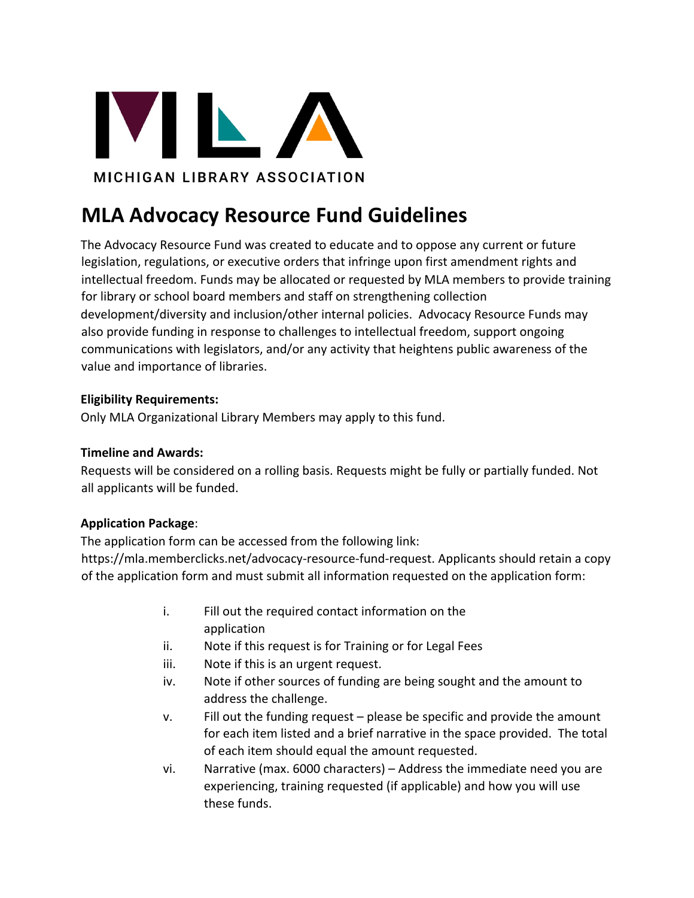

# **MLA Advocacy Resource Fund Guidelines**

The Advocacy Resource Fund was created to educate and to oppose any current or future legislation, regulations, or executive orders that infringe upon first amendment rights and intellectual freedom. Funds may be allocated or requested by MLA members to provide training for library or school board members and staff on strengthening collection development/diversity and inclusion/other internal policies. Advocacy Resource Funds may also provide funding in response to challenges to intellectual freedom, support ongoing communications with legislators, and/or any activity that heightens public awareness of the value and importance of libraries.

## **Eligibility Requirements:**

Only MLA Organizational Library Members may apply to this fund.

## **Timeline and Awards:**

Requests will be considered on a rolling basis. Requests might be fully or partially funded. Not all applicants will be funded.

# **Application Package**:

The application form can be accessed from the following link: https://mla.memberclicks.net/advocacy-resource-fund-request. Applicants should retain a copy of the application form and must submit all information requested on the application form:

- i. Fill out the required contact information on the application
- ii. Note if this request is for Training or for Legal Fees
- iii. Note if this is an urgent request.
- iv. Note if other sources of funding are being sought and the amount to address the challenge.
- v. Fill out the funding request please be specific and provide the amount for each item listed and a brief narrative in the space provided. The total of each item should equal the amount requested.
- vi. Narrative (max. 6000 characters) Address the immediate need you are experiencing, training requested (if applicable) and how you will use these funds.